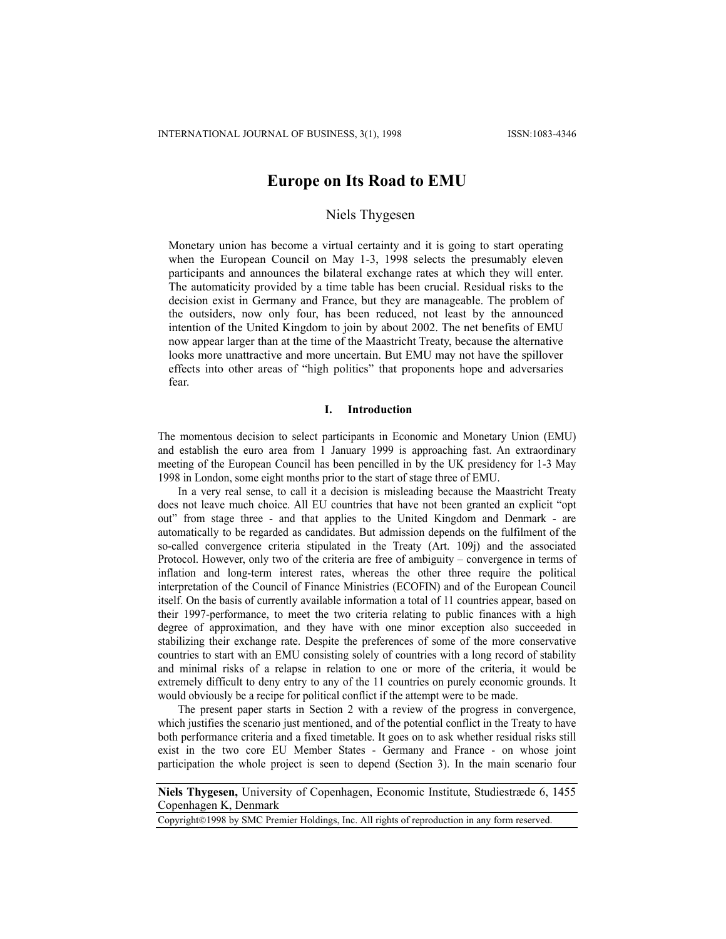# **Europe on Its Road to EMU**

# Niels Thygesen

Monetary union has become a virtual certainty and it is going to start operating when the European Council on May 1-3, 1998 selects the presumably eleven participants and announces the bilateral exchange rates at which they will enter. The automaticity provided by a time table has been crucial. Residual risks to the decision exist in Germany and France, but they are manageable. The problem of the outsiders, now only four, has been reduced, not least by the announced intention of the United Kingdom to join by about 2002. The net benefits of EMU now appear larger than at the time of the Maastricht Treaty, because the alternative looks more unattractive and more uncertain. But EMU may not have the spillover effects into other areas of "high politics" that proponents hope and adversaries fear.

#### **I. Introduction**

The momentous decision to select participants in Economic and Monetary Union (EMU) and establish the euro area from 1 January 1999 is approaching fast. An extraordinary meeting of the European Council has been pencilled in by the UK presidency for 1-3 May 1998 in London, some eight months prior to the start of stage three of EMU.

In a very real sense, to call it a decision is misleading because the Maastricht Treaty does not leave much choice. All EU countries that have not been granted an explicit "opt out" from stage three - and that applies to the United Kingdom and Denmark - are automatically to be regarded as candidates. But admission depends on the fulfilment of the so-called convergence criteria stipulated in the Treaty (Art. 109j) and the associated Protocol. However, only two of the criteria are free of ambiguity – convergence in terms of inflation and long-term interest rates, whereas the other three require the political interpretation of the Council of Finance Ministries (ECOFIN) and of the European Council itself. On the basis of currently available information a total of 11 countries appear, based on their 1997-performance, to meet the two criteria relating to public finances with a high degree of approximation, and they have with one minor exception also succeeded in stabilizing their exchange rate. Despite the preferences of some of the more conservative countries to start with an EMU consisting solely of countries with a long record of stability and minimal risks of a relapse in relation to one or more of the criteria, it would be extremely difficult to deny entry to any of the 11 countries on purely economic grounds. It would obviously be a recipe for political conflict if the attempt were to be made.

The present paper starts in Section 2 with a review of the progress in convergence, which justifies the scenario just mentioned, and of the potential conflict in the Treaty to have both performance criteria and a fixed timetable. It goes on to ask whether residual risks still exist in the two core EU Member States - Germany and France - on whose joint participation the whole project is seen to depend (Section 3). In the main scenario four

Copyright©1998 by SMC Premier Holdings, Inc. All rights of reproduction in any form reserved.

**Niels Thygesen,** University of Copenhagen, Economic Institute, Studiestræde 6, 1455 Copenhagen K, Denmark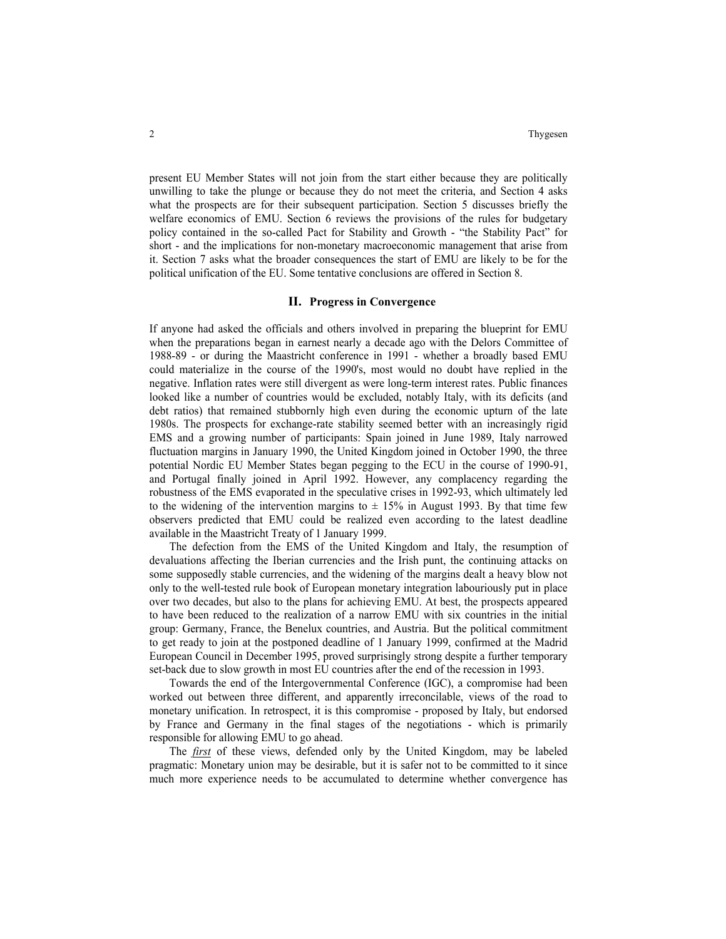present EU Member States will not join from the start either because they are politically unwilling to take the plunge or because they do not meet the criteria, and Section 4 asks what the prospects are for their subsequent participation. Section 5 discusses briefly the welfare economics of EMU. Section 6 reviews the provisions of the rules for budgetary policy contained in the so-called Pact for Stability and Growth - "the Stability Pact" for short - and the implications for non-monetary macroeconomic management that arise from it. Section 7 asks what the broader consequences the start of EMU are likely to be for the political unification of the EU. Some tentative conclusions are offered in Section 8.

#### **II. Progress in Convergence**

If anyone had asked the officials and others involved in preparing the blueprint for EMU when the preparations began in earnest nearly a decade ago with the Delors Committee of 1988-89 - or during the Maastricht conference in 1991 - whether a broadly based EMU could materialize in the course of the 1990's, most would no doubt have replied in the negative. Inflation rates were still divergent as were long-term interest rates. Public finances looked like a number of countries would be excluded, notably Italy, with its deficits (and debt ratios) that remained stubbornly high even during the economic upturn of the late 1980s. The prospects for exchange-rate stability seemed better with an increasingly rigid EMS and a growing number of participants: Spain joined in June 1989, Italy narrowed fluctuation margins in January 1990, the United Kingdom joined in October 1990, the three potential Nordic EU Member States began pegging to the ECU in the course of 1990-91, and Portugal finally joined in April 1992. However, any complacency regarding the robustness of the EMS evaporated in the speculative crises in 1992-93, which ultimately led to the widening of the intervention margins to  $\pm$  15% in August 1993. By that time few observers predicted that EMU could be realized even according to the latest deadline available in the Maastricht Treaty of 1 January 1999.

The defection from the EMS of the United Kingdom and Italy, the resumption of devaluations affecting the Iberian currencies and the Irish punt, the continuing attacks on some supposedly stable currencies, and the widening of the margins dealt a heavy blow not only to the well-tested rule book of European monetary integration labouriously put in place over two decades, but also to the plans for achieving EMU. At best, the prospects appeared to have been reduced to the realization of a narrow EMU with six countries in the initial group: Germany, France, the Benelux countries, and Austria. But the political commitment to get ready to join at the postponed deadline of 1 January 1999, confirmed at the Madrid European Council in December 1995, proved surprisingly strong despite a further temporary set-back due to slow growth in most EU countries after the end of the recession in 1993.

Towards the end of the Intergovernmental Conference (IGC), a compromise had been worked out between three different, and apparently irreconcilable, views of the road to monetary unification. In retrospect, it is this compromise - proposed by Italy, but endorsed by France and Germany in the final stages of the negotiations - which is primarily responsible for allowing EMU to go ahead.

The *first* of these views, defended only by the United Kingdom, may be labeled pragmatic: Monetary union may be desirable, but it is safer not to be committed to it since much more experience needs to be accumulated to determine whether convergence has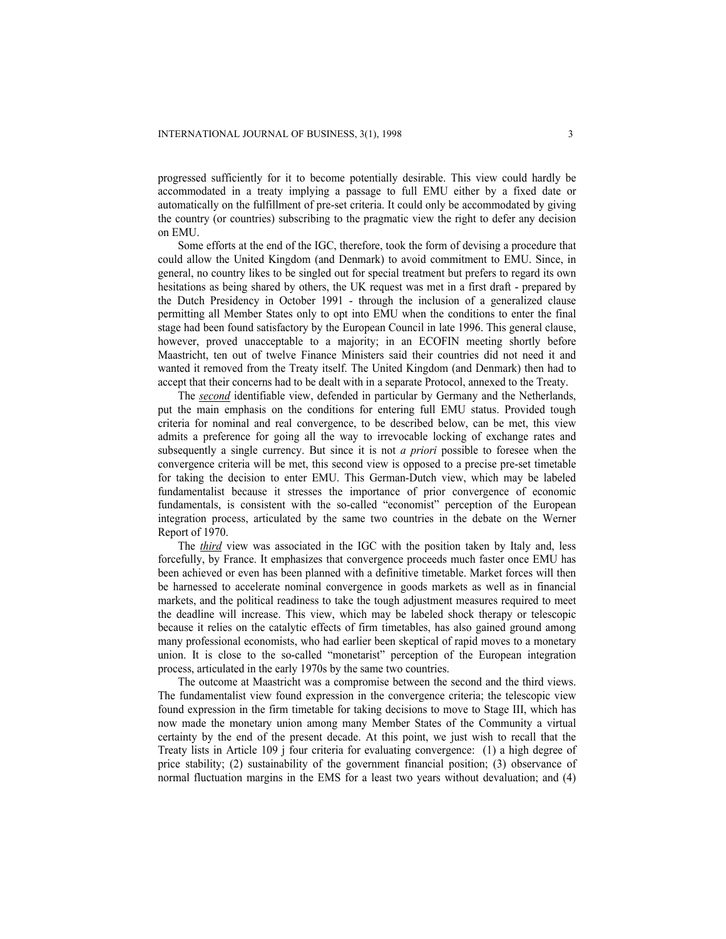progressed sufficiently for it to become potentially desirable. This view could hardly be accommodated in a treaty implying a passage to full EMU either by a fixed date or automatically on the fulfillment of pre-set criteria. It could only be accommodated by giving the country (or countries) subscribing to the pragmatic view the right to defer any decision on EMU.

Some efforts at the end of the IGC, therefore, took the form of devising a procedure that could allow the United Kingdom (and Denmark) to avoid commitment to EMU. Since, in general, no country likes to be singled out for special treatment but prefers to regard its own hesitations as being shared by others, the UK request was met in a first draft - prepared by the Dutch Presidency in October 1991 - through the inclusion of a generalized clause permitting all Member States only to opt into EMU when the conditions to enter the final stage had been found satisfactory by the European Council in late 1996. This general clause, however, proved unacceptable to a majority; in an ECOFIN meeting shortly before Maastricht, ten out of twelve Finance Ministers said their countries did not need it and wanted it removed from the Treaty itself. The United Kingdom (and Denmark) then had to accept that their concerns had to be dealt with in a separate Protocol, annexed to the Treaty.

The *second* identifiable view, defended in particular by Germany and the Netherlands, put the main emphasis on the conditions for entering full EMU status. Provided tough criteria for nominal and real convergence, to be described below, can be met, this view admits a preference for going all the way to irrevocable locking of exchange rates and subsequently a single currency. But since it is not *a priori* possible to foresee when the convergence criteria will be met, this second view is opposed to a precise pre-set timetable for taking the decision to enter EMU. This German-Dutch view, which may be labeled fundamentalist because it stresses the importance of prior convergence of economic fundamentals, is consistent with the so-called "economist" perception of the European integration process, articulated by the same two countries in the debate on the Werner Report of 1970.

The *third* view was associated in the IGC with the position taken by Italy and, less forcefully, by France. It emphasizes that convergence proceeds much faster once EMU has been achieved or even has been planned with a definitive timetable. Market forces will then be harnessed to accelerate nominal convergence in goods markets as well as in financial markets, and the political readiness to take the tough adjustment measures required to meet the deadline will increase. This view, which may be labeled shock therapy or telescopic because it relies on the catalytic effects of firm timetables, has also gained ground among many professional economists, who had earlier been skeptical of rapid moves to a monetary union. It is close to the so-called "monetarist" perception of the European integration process, articulated in the early 1970s by the same two countries.

The outcome at Maastricht was a compromise between the second and the third views. The fundamentalist view found expression in the convergence criteria; the telescopic view found expression in the firm timetable for taking decisions to move to Stage III, which has now made the monetary union among many Member States of the Community a virtual certainty by the end of the present decade. At this point, we just wish to recall that the Treaty lists in Article 109 j four criteria for evaluating convergence: (1) a high degree of price stability; (2) sustainability of the government financial position; (3) observance of normal fluctuation margins in the EMS for a least two years without devaluation; and (4)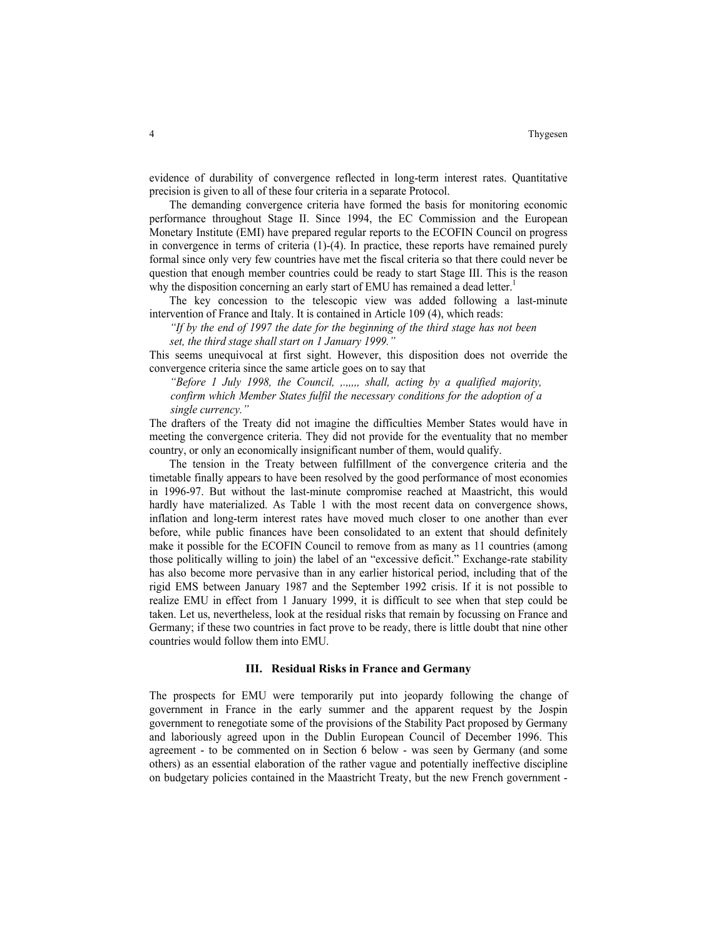evidence of durability of convergence reflected in long-term interest rates. Quantitative precision is given to all of these four criteria in a separate Protocol.

The demanding convergence criteria have formed the basis for monitoring economic performance throughout Stage II. Since 1994, the EC Commission and the European Monetary Institute (EMI) have prepared regular reports to the ECOFIN Council on progress in convergence in terms of criteria (1)-(4). In practice, these reports have remained purely formal since only very few countries have met the fiscal criteria so that there could never be question that enough member countries could be ready to start Stage III. This is the reason why the disposition concerning an early start of EMU has remained a dead letter.<sup>1</sup>

The key concession to the telescopic view was added following a last-minute intervention of France and Italy. It is contained in Article 109 (4), which reads:

*"If by the end of 1997 the date for the beginning of the third stage has not been set, the third stage shall start on 1 January 1999."* 

This seems unequivocal at first sight. However, this disposition does not override the convergence criteria since the same article goes on to say that

*"Before 1 July 1998, the Council, ,.,,,,, shall, acting by a qualified majority, confirm which Member States fulfil the necessary conditions for the adoption of a single currency."* 

The drafters of the Treaty did not imagine the difficulties Member States would have in meeting the convergence criteria. They did not provide for the eventuality that no member country, or only an economically insignificant number of them, would qualify.

The tension in the Treaty between fulfillment of the convergence criteria and the timetable finally appears to have been resolved by the good performance of most economies in 1996-97. But without the last-minute compromise reached at Maastricht, this would hardly have materialized. As Table 1 with the most recent data on convergence shows, inflation and long-term interest rates have moved much closer to one another than ever before, while public finances have been consolidated to an extent that should definitely make it possible for the ECOFIN Council to remove from as many as 11 countries (among those politically willing to join) the label of an "excessive deficit." Exchange-rate stability has also become more pervasive than in any earlier historical period, including that of the rigid EMS between January 1987 and the September 1992 crisis. If it is not possible to realize EMU in effect from 1 January 1999, it is difficult to see when that step could be taken. Let us, nevertheless, look at the residual risks that remain by focussing on France and Germany; if these two countries in fact prove to be ready, there is little doubt that nine other countries would follow them into EMU.

# **III. Residual Risks in France and Germany**

The prospects for EMU were temporarily put into jeopardy following the change of government in France in the early summer and the apparent request by the Jospin government to renegotiate some of the provisions of the Stability Pact proposed by Germany and laboriously agreed upon in the Dublin European Council of December 1996. This agreement - to be commented on in Section 6 below - was seen by Germany (and some others) as an essential elaboration of the rather vague and potentially ineffective discipline on budgetary policies contained in the Maastricht Treaty, but the new French government -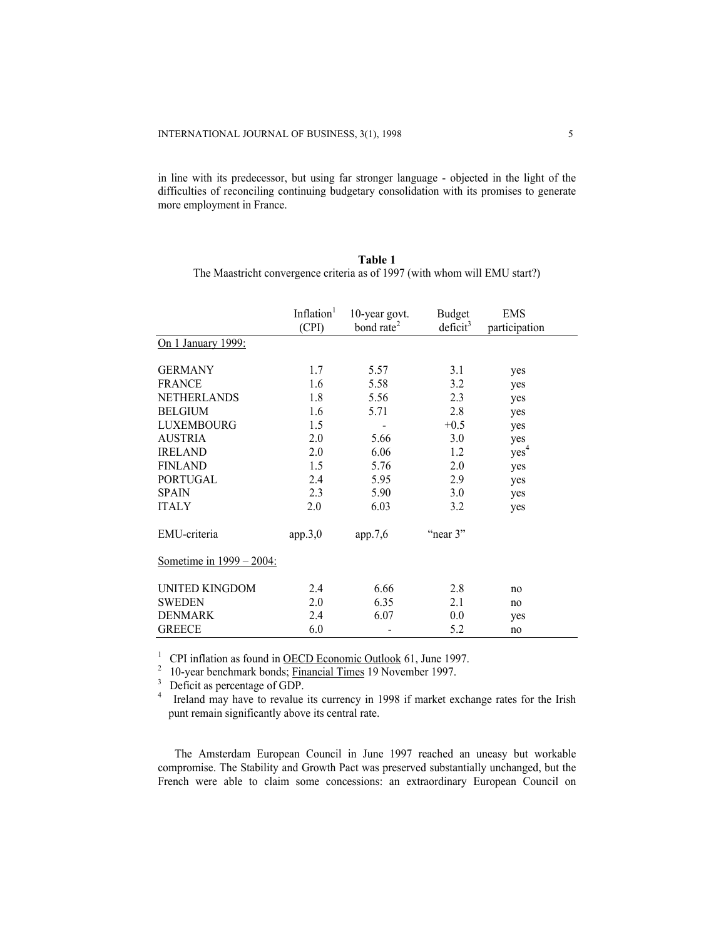in line with its predecessor, but using far stronger language - objected in the light of the difficulties of reconciling continuing budgetary consolidation with its promises to generate more employment in France.

|                          | Inflation <sup>1</sup> | 10-year govt.          | <b>Budget</b>        | <b>EMS</b>       |
|--------------------------|------------------------|------------------------|----------------------|------------------|
|                          | (CPI)                  | bond rate <sup>2</sup> | deficit <sup>3</sup> | participation    |
| On 1 January 1999:       |                        |                        |                      |                  |
|                          |                        |                        |                      |                  |
| <b>GERMANY</b>           | 1.7                    | 5.57                   | 3.1                  | yes              |
| <b>FRANCE</b>            | 1.6                    | 5.58                   | 3.2                  | yes              |
| NETHERLANDS              | 1.8                    | 5.56                   | 2.3                  | yes              |
| <b>BELGIUM</b>           | 1.6                    | 5.71                   | 2.8                  | yes              |
| LUXEMBOURG               | 1.5                    |                        | $+0.5$               | yes              |
| <b>AUSTRIA</b>           | 2.0                    | 5.66                   | 3.0                  | yes              |
| <b>IRELAND</b>           | 2.0                    | 6.06                   | 1.2                  | yes <sup>4</sup> |
| <b>FINLAND</b>           | 1.5                    | 5.76                   | 2.0                  | yes              |
| <b>PORTUGAL</b>          | 2.4                    | 5.95                   | 2.9                  | yes              |
| <b>SPAIN</b>             | 2.3                    | 5.90                   | 3.0                  | yes              |
| <b>ITALY</b>             | 2.0                    | 6.03                   | 3.2                  | yes              |
| EMU-criteria             | app.3,0                | app.7,6                | "near 3"             |                  |
| Sometime in 1999 – 2004: |                        |                        |                      |                  |
| UNITED KINGDOM           | 2.4                    | 6.66                   | 2.8                  | no               |
| <b>SWEDEN</b>            | 2.0                    | 6.35                   | 2.1                  | no               |
| <b>DENMARK</b>           | 2.4                    | 6.07                   | 0.0                  | yes              |
| <b>GREECE</b>            | 6.0                    |                        | 5.2                  | no               |

| Table 1                                                                    |  |
|----------------------------------------------------------------------------|--|
| The Maastricht convergence criteria as of 1997 (with whom will EMU start?) |  |

<sup>1</sup> CPI inflation as found in <u>OECD Economic Outlook</u> 61, June 1997.

<sup>2</sup> 10-year benchmark bonds; <u>Financial Times</u> 19 November 1997.

 $\overline{3}$  Deficit as percentage of GDP.

4 Ireland may have to revalue its currency in 1998 if market exchange rates for the Irish punt remain significantly above its central rate.

The Amsterdam European Council in June 1997 reached an uneasy but workable compromise. The Stability and Growth Pact was preserved substantially unchanged, but the French were able to claim some concessions: an extraordinary European Council on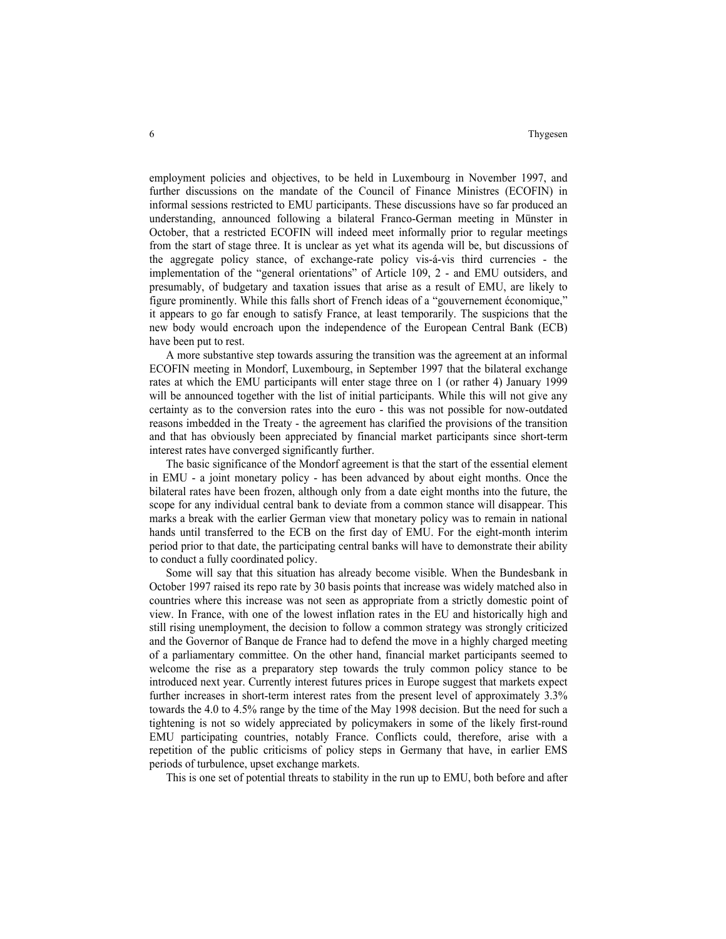employment policies and objectives, to be held in Luxembourg in November 1997, and further discussions on the mandate of the Council of Finance Ministres (ECOFIN) in informal sessions restricted to EMU participants. These discussions have so far produced an understanding, announced following a bilateral Franco-German meeting in Münster in October, that a restricted ECOFIN will indeed meet informally prior to regular meetings from the start of stage three. It is unclear as yet what its agenda will be, but discussions of the aggregate policy stance, of exchange-rate policy vis-á-vis third currencies - the implementation of the "general orientations" of Article 109, 2 - and EMU outsiders, and presumably, of budgetary and taxation issues that arise as a result of EMU, are likely to figure prominently. While this falls short of French ideas of a "gouvernement économique," it appears to go far enough to satisfy France, at least temporarily. The suspicions that the new body would encroach upon the independence of the European Central Bank (ECB) have been put to rest.

A more substantive step towards assuring the transition was the agreement at an informal ECOFIN meeting in Mondorf, Luxembourg, in September 1997 that the bilateral exchange rates at which the EMU participants will enter stage three on 1 (or rather 4) January 1999 will be announced together with the list of initial participants. While this will not give any certainty as to the conversion rates into the euro - this was not possible for now-outdated reasons imbedded in the Treaty - the agreement has clarified the provisions of the transition and that has obviously been appreciated by financial market participants since short-term interest rates have converged significantly further.

The basic significance of the Mondorf agreement is that the start of the essential element in EMU - a joint monetary policy - has been advanced by about eight months. Once the bilateral rates have been frozen, although only from a date eight months into the future, the scope for any individual central bank to deviate from a common stance will disappear. This marks a break with the earlier German view that monetary policy was to remain in national hands until transferred to the ECB on the first day of EMU. For the eight-month interim period prior to that date, the participating central banks will have to demonstrate their ability to conduct a fully coordinated policy.

Some will say that this situation has already become visible. When the Bundesbank in October 1997 raised its repo rate by 30 basis points that increase was widely matched also in countries where this increase was not seen as appropriate from a strictly domestic point of view. In France, with one of the lowest inflation rates in the EU and historically high and still rising unemployment, the decision to follow a common strategy was strongly criticized and the Governor of Banque de France had to defend the move in a highly charged meeting of a parliamentary committee. On the other hand, financial market participants seemed to welcome the rise as a preparatory step towards the truly common policy stance to be introduced next year. Currently interest futures prices in Europe suggest that markets expect further increases in short-term interest rates from the present level of approximately 3.3% towards the 4.0 to 4.5% range by the time of the May 1998 decision. But the need for such a tightening is not so widely appreciated by policymakers in some of the likely first-round EMU participating countries, notably France. Conflicts could, therefore, arise with a repetition of the public criticisms of policy steps in Germany that have, in earlier EMS periods of turbulence, upset exchange markets.

This is one set of potential threats to stability in the run up to EMU, both before and after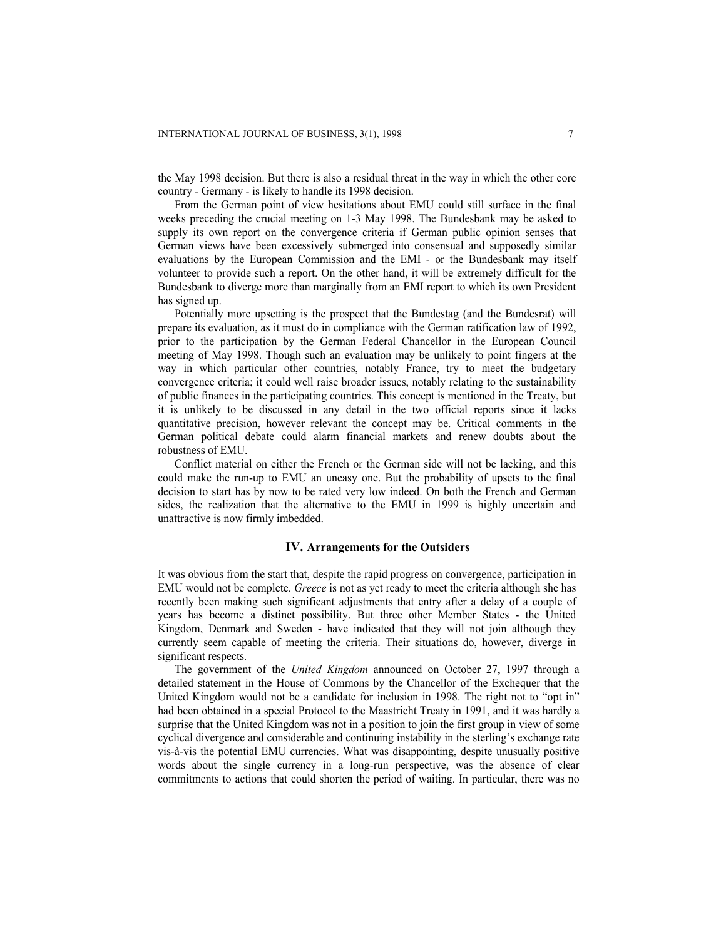the May 1998 decision. But there is also a residual threat in the way in which the other core country - Germany - is likely to handle its 1998 decision.

From the German point of view hesitations about EMU could still surface in the final weeks preceding the crucial meeting on 1-3 May 1998. The Bundesbank may be asked to supply its own report on the convergence criteria if German public opinion senses that German views have been excessively submerged into consensual and supposedly similar evaluations by the European Commission and the EMI - or the Bundesbank may itself volunteer to provide such a report. On the other hand, it will be extremely difficult for the Bundesbank to diverge more than marginally from an EMI report to which its own President has signed up.

Potentially more upsetting is the prospect that the Bundestag (and the Bundesrat) will prepare its evaluation, as it must do in compliance with the German ratification law of 1992, prior to the participation by the German Federal Chancellor in the European Council meeting of May 1998. Though such an evaluation may be unlikely to point fingers at the way in which particular other countries, notably France, try to meet the budgetary convergence criteria; it could well raise broader issues, notably relating to the sustainability of public finances in the participating countries. This concept is mentioned in the Treaty, but it is unlikely to be discussed in any detail in the two official reports since it lacks quantitative precision, however relevant the concept may be. Critical comments in the German political debate could alarm financial markets and renew doubts about the robustness of EMU.

Conflict material on either the French or the German side will not be lacking, and this could make the run-up to EMU an uneasy one. But the probability of upsets to the final decision to start has by now to be rated very low indeed. On both the French and German sides, the realization that the alternative to the EMU in 1999 is highly uncertain and unattractive is now firmly imbedded.

## **IV. Arrangements for the Outsiders**

It was obvious from the start that, despite the rapid progress on convergence, participation in EMU would not be complete. *Greece* is not as yet ready to meet the criteria although she has recently been making such significant adjustments that entry after a delay of a couple of years has become a distinct possibility. But three other Member States - the United Kingdom, Denmark and Sweden - have indicated that they will not join although they currently seem capable of meeting the criteria. Their situations do, however, diverge in significant respects.

The government of the *United Kingdom* announced on October 27, 1997 through a detailed statement in the House of Commons by the Chancellor of the Exchequer that the United Kingdom would not be a candidate for inclusion in 1998. The right not to "opt in" had been obtained in a special Protocol to the Maastricht Treaty in 1991, and it was hardly a surprise that the United Kingdom was not in a position to join the first group in view of some cyclical divergence and considerable and continuing instability in the sterling's exchange rate vis-à-vis the potential EMU currencies. What was disappointing, despite unusually positive words about the single currency in a long-run perspective, was the absence of clear commitments to actions that could shorten the period of waiting. In particular, there was no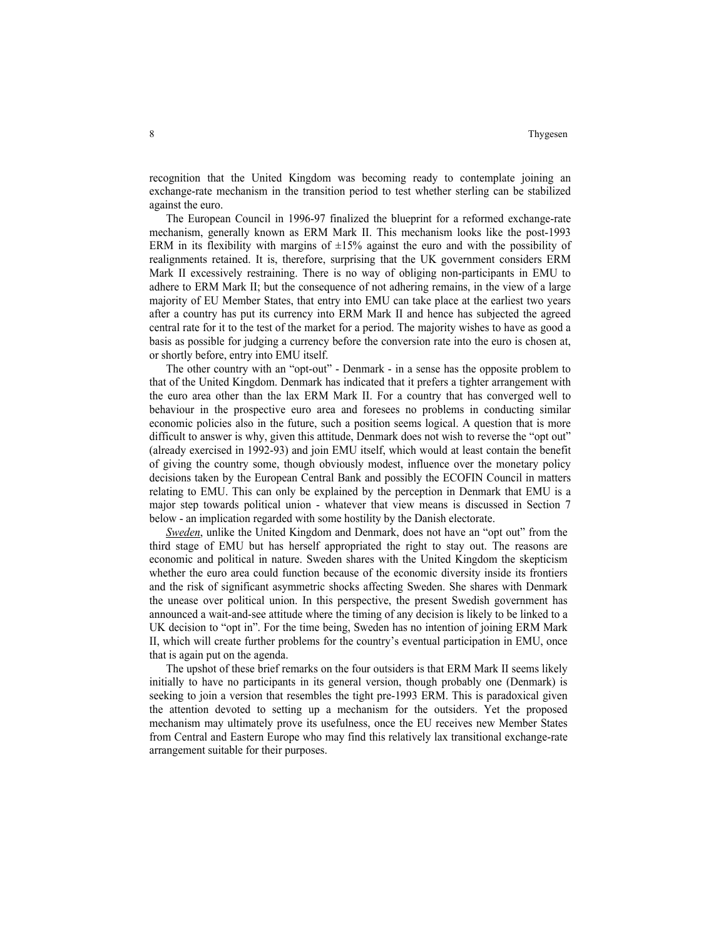recognition that the United Kingdom was becoming ready to contemplate joining an exchange-rate mechanism in the transition period to test whether sterling can be stabilized against the euro.

 The European Council in 1996-97 finalized the blueprint for a reformed exchange-rate mechanism, generally known as ERM Mark II. This mechanism looks like the post-1993 ERM in its flexibility with margins of  $\pm 15\%$  against the euro and with the possibility of realignments retained. It is, therefore, surprising that the UK government considers ERM Mark II excessively restraining. There is no way of obliging non-participants in EMU to adhere to ERM Mark II; but the consequence of not adhering remains, in the view of a large majority of EU Member States, that entry into EMU can take place at the earliest two years after a country has put its currency into ERM Mark II and hence has subjected the agreed central rate for it to the test of the market for a period. The majority wishes to have as good a basis as possible for judging a currency before the conversion rate into the euro is chosen at, or shortly before, entry into EMU itself.

 The other country with an "opt-out" - Denmark - in a sense has the opposite problem to that of the United Kingdom. Denmark has indicated that it prefers a tighter arrangement with the euro area other than the lax ERM Mark II. For a country that has converged well to behaviour in the prospective euro area and foresees no problems in conducting similar economic policies also in the future, such a position seems logical. A question that is more difficult to answer is why, given this attitude, Denmark does not wish to reverse the "opt out" (already exercised in 1992-93) and join EMU itself, which would at least contain the benefit of giving the country some, though obviously modest, influence over the monetary policy decisions taken by the European Central Bank and possibly the ECOFIN Council in matters relating to EMU. This can only be explained by the perception in Denmark that EMU is a major step towards political union - whatever that view means is discussed in Section 7 below - an implication regarded with some hostility by the Danish electorate.

*Sweden*, unlike the United Kingdom and Denmark, does not have an "opt out" from the third stage of EMU but has herself appropriated the right to stay out. The reasons are economic and political in nature. Sweden shares with the United Kingdom the skepticism whether the euro area could function because of the economic diversity inside its frontiers and the risk of significant asymmetric shocks affecting Sweden. She shares with Denmark the unease over political union. In this perspective, the present Swedish government has announced a wait-and-see attitude where the timing of any decision is likely to be linked to a UK decision to "opt in". For the time being, Sweden has no intention of joining ERM Mark II, which will create further problems for the country's eventual participation in EMU, once that is again put on the agenda.

The upshot of these brief remarks on the four outsiders is that ERM Mark II seems likely initially to have no participants in its general version, though probably one (Denmark) is seeking to join a version that resembles the tight pre-1993 ERM. This is paradoxical given the attention devoted to setting up a mechanism for the outsiders. Yet the proposed mechanism may ultimately prove its usefulness, once the EU receives new Member States from Central and Eastern Europe who may find this relatively lax transitional exchange-rate arrangement suitable for their purposes.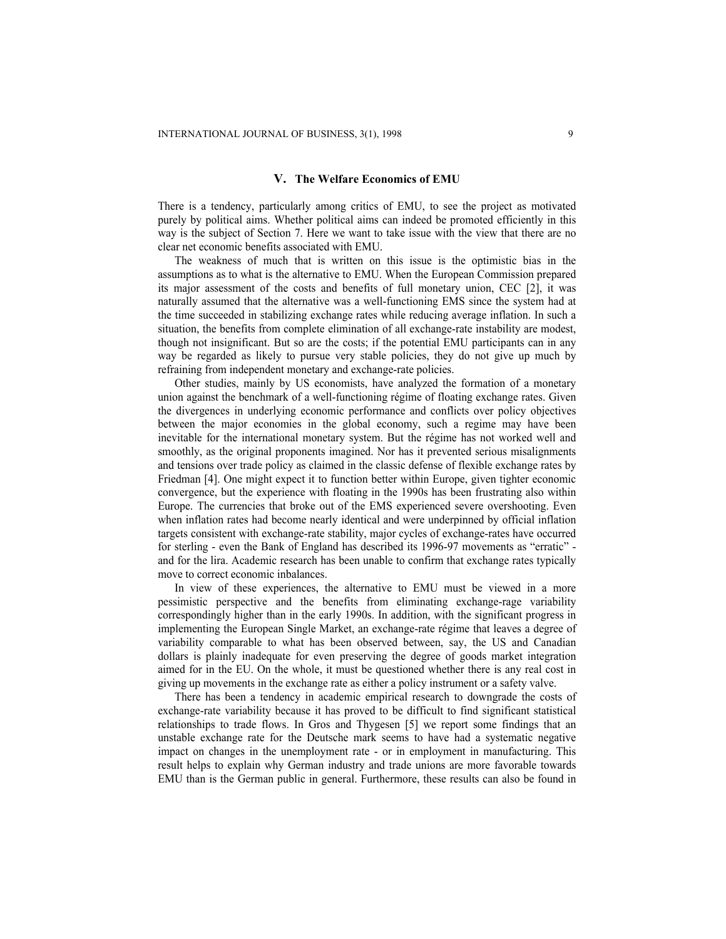### **V. The Welfare Economics of EMU**

There is a tendency, particularly among critics of EMU, to see the project as motivated purely by political aims. Whether political aims can indeed be promoted efficiently in this way is the subject of Section 7. Here we want to take issue with the view that there are no clear net economic benefits associated with EMU.

The weakness of much that is written on this issue is the optimistic bias in the assumptions as to what is the alternative to EMU. When the European Commission prepared its major assessment of the costs and benefits of full monetary union, CEC [2], it was naturally assumed that the alternative was a well-functioning EMS since the system had at the time succeeded in stabilizing exchange rates while reducing average inflation. In such a situation, the benefits from complete elimination of all exchange-rate instability are modest, though not insignificant. But so are the costs; if the potential EMU participants can in any way be regarded as likely to pursue very stable policies, they do not give up much by refraining from independent monetary and exchange-rate policies.

Other studies, mainly by US economists, have analyzed the formation of a monetary union against the benchmark of a well-functioning régime of floating exchange rates. Given the divergences in underlying economic performance and conflicts over policy objectives between the major economies in the global economy, such a regime may have been inevitable for the international monetary system. But the régime has not worked well and smoothly, as the original proponents imagined. Nor has it prevented serious misalignments and tensions over trade policy as claimed in the classic defense of flexible exchange rates by Friedman [4]. One might expect it to function better within Europe, given tighter economic convergence, but the experience with floating in the 1990s has been frustrating also within Europe. The currencies that broke out of the EMS experienced severe overshooting. Even when inflation rates had become nearly identical and were underpinned by official inflation targets consistent with exchange-rate stability, major cycles of exchange-rates have occurred for sterling - even the Bank of England has described its 1996-97 movements as "erratic" and for the lira. Academic research has been unable to confirm that exchange rates typically move to correct economic inbalances.

In view of these experiences, the alternative to EMU must be viewed in a more pessimistic perspective and the benefits from eliminating exchange-rage variability correspondingly higher than in the early 1990s. In addition, with the significant progress in implementing the European Single Market, an exchange-rate régime that leaves a degree of variability comparable to what has been observed between, say, the US and Canadian dollars is plainly inadequate for even preserving the degree of goods market integration aimed for in the EU. On the whole, it must be questioned whether there is any real cost in giving up movements in the exchange rate as either a policy instrument or a safety valve.

There has been a tendency in academic empirical research to downgrade the costs of exchange-rate variability because it has proved to be difficult to find significant statistical relationships to trade flows. In Gros and Thygesen [5] we report some findings that an unstable exchange rate for the Deutsche mark seems to have had a systematic negative impact on changes in the unemployment rate - or in employment in manufacturing. This result helps to explain why German industry and trade unions are more favorable towards EMU than is the German public in general. Furthermore, these results can also be found in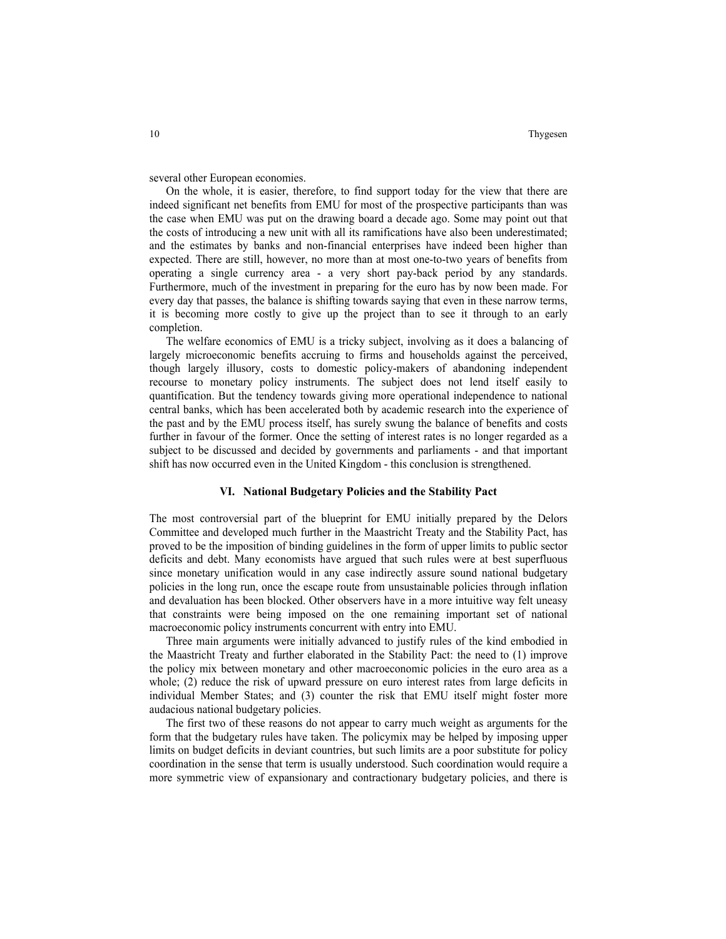several other European economies.

On the whole, it is easier, therefore, to find support today for the view that there are indeed significant net benefits from EMU for most of the prospective participants than was the case when EMU was put on the drawing board a decade ago. Some may point out that the costs of introducing a new unit with all its ramifications have also been underestimated; and the estimates by banks and non-financial enterprises have indeed been higher than expected. There are still, however, no more than at most one-to-two years of benefits from operating a single currency area - a very short pay-back period by any standards. Furthermore, much of the investment in preparing for the euro has by now been made. For every day that passes, the balance is shifting towards saying that even in these narrow terms, it is becoming more costly to give up the project than to see it through to an early completion.

The welfare economics of EMU is a tricky subject, involving as it does a balancing of largely microeconomic benefits accruing to firms and households against the perceived, though largely illusory, costs to domestic policy-makers of abandoning independent recourse to monetary policy instruments. The subject does not lend itself easily to quantification. But the tendency towards giving more operational independence to national central banks, which has been accelerated both by academic research into the experience of the past and by the EMU process itself, has surely swung the balance of benefits and costs further in favour of the former. Once the setting of interest rates is no longer regarded as a subject to be discussed and decided by governments and parliaments - and that important shift has now occurred even in the United Kingdom - this conclusion is strengthened.

#### **VI. National Budgetary Policies and the Stability Pact**

The most controversial part of the blueprint for EMU initially prepared by the Delors Committee and developed much further in the Maastricht Treaty and the Stability Pact, has proved to be the imposition of binding guidelines in the form of upper limits to public sector deficits and debt. Many economists have argued that such rules were at best superfluous since monetary unification would in any case indirectly assure sound national budgetary policies in the long run, once the escape route from unsustainable policies through inflation and devaluation has been blocked. Other observers have in a more intuitive way felt uneasy that constraints were being imposed on the one remaining important set of national macroeconomic policy instruments concurrent with entry into EMU.

Three main arguments were initially advanced to justify rules of the kind embodied in the Maastricht Treaty and further elaborated in the Stability Pact: the need to (1) improve the policy mix between monetary and other macroeconomic policies in the euro area as a whole; (2) reduce the risk of upward pressure on euro interest rates from large deficits in individual Member States; and (3) counter the risk that EMU itself might foster more audacious national budgetary policies.

The first two of these reasons do not appear to carry much weight as arguments for the form that the budgetary rules have taken. The policymix may be helped by imposing upper limits on budget deficits in deviant countries, but such limits are a poor substitute for policy coordination in the sense that term is usually understood. Such coordination would require a more symmetric view of expansionary and contractionary budgetary policies, and there is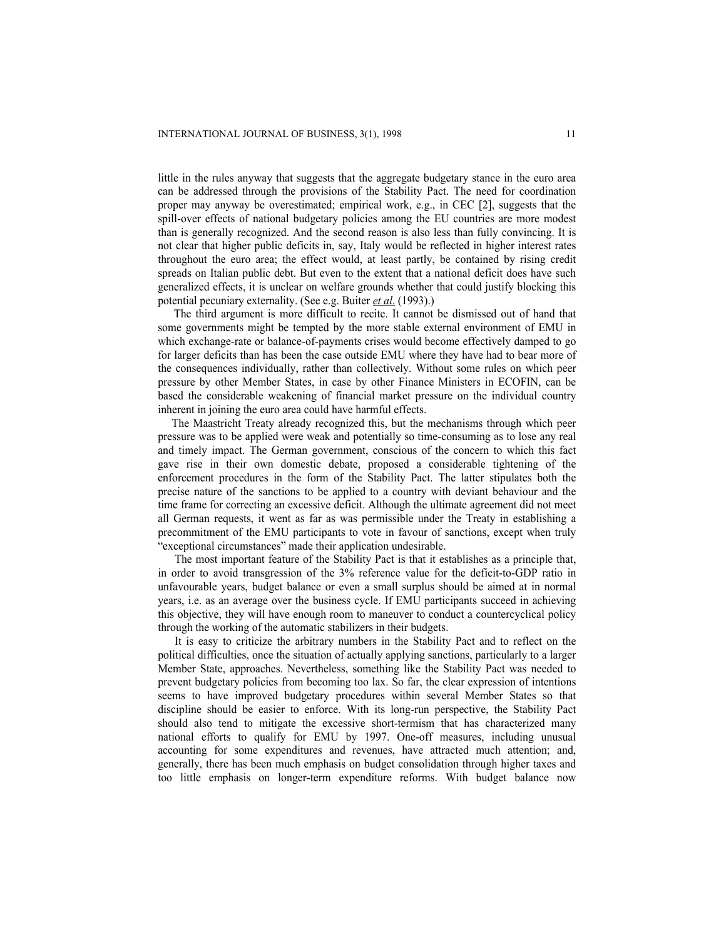little in the rules anyway that suggests that the aggregate budgetary stance in the euro area can be addressed through the provisions of the Stability Pact. The need for coordination proper may anyway be overestimated; empirical work, e.g., in CEC [2], suggests that the spill-over effects of national budgetary policies among the EU countries are more modest than is generally recognized. And the second reason is also less than fully convincing. It is not clear that higher public deficits in, say, Italy would be reflected in higher interest rates throughout the euro area; the effect would, at least partly, be contained by rising credit spreads on Italian public debt. But even to the extent that a national deficit does have such generalized effects, it is unclear on welfare grounds whether that could justify blocking this potential pecuniary externality. (See e.g. Buiter *et al*. (1993).)

The third argument is more difficult to recite. It cannot be dismissed out of hand that some governments might be tempted by the more stable external environment of EMU in which exchange-rate or balance-of-payments crises would become effectively damped to go for larger deficits than has been the case outside EMU where they have had to bear more of the consequences individually, rather than collectively. Without some rules on which peer pressure by other Member States, in case by other Finance Ministers in ECOFIN, can be based the considerable weakening of financial market pressure on the individual country inherent in joining the euro area could have harmful effects.

 The Maastricht Treaty already recognized this, but the mechanisms through which peer pressure was to be applied were weak and potentially so time-consuming as to lose any real and timely impact. The German government, conscious of the concern to which this fact gave rise in their own domestic debate, proposed a considerable tightening of the enforcement procedures in the form of the Stability Pact. The latter stipulates both the precise nature of the sanctions to be applied to a country with deviant behaviour and the time frame for correcting an excessive deficit. Although the ultimate agreement did not meet all German requests, it went as far as was permissible under the Treaty in establishing a precommitment of the EMU participants to vote in favour of sanctions, except when truly "exceptional circumstances" made their application undesirable.

The most important feature of the Stability Pact is that it establishes as a principle that, in order to avoid transgression of the 3% reference value for the deficit-to-GDP ratio in unfavourable years, budget balance or even a small surplus should be aimed at in normal years, i.e. as an average over the business cycle. If EMU participants succeed in achieving this objective, they will have enough room to maneuver to conduct a countercyclical policy through the working of the automatic stabilizers in their budgets.

It is easy to criticize the arbitrary numbers in the Stability Pact and to reflect on the political difficulties, once the situation of actually applying sanctions, particularly to a larger Member State, approaches. Nevertheless, something like the Stability Pact was needed to prevent budgetary policies from becoming too lax. So far, the clear expression of intentions seems to have improved budgetary procedures within several Member States so that discipline should be easier to enforce. With its long-run perspective, the Stability Pact should also tend to mitigate the excessive short-termism that has characterized many national efforts to qualify for EMU by 1997. One-off measures, including unusual accounting for some expenditures and revenues, have attracted much attention; and, generally, there has been much emphasis on budget consolidation through higher taxes and too little emphasis on longer-term expenditure reforms. With budget balance now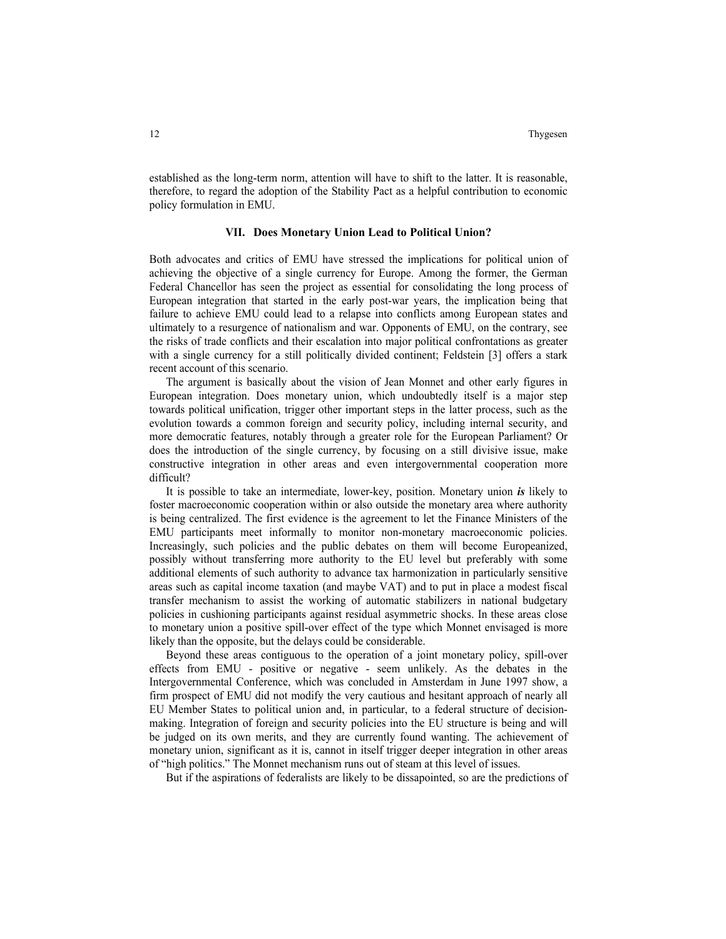established as the long-term norm, attention will have to shift to the latter. It is reasonable, therefore, to regard the adoption of the Stability Pact as a helpful contribution to economic policy formulation in EMU.

### **VII. Does Monetary Union Lead to Political Union?**

Both advocates and critics of EMU have stressed the implications for political union of achieving the objective of a single currency for Europe. Among the former, the German Federal Chancellor has seen the project as essential for consolidating the long process of European integration that started in the early post-war years, the implication being that failure to achieve EMU could lead to a relapse into conflicts among European states and ultimately to a resurgence of nationalism and war. Opponents of EMU, on the contrary, see the risks of trade conflicts and their escalation into major political confrontations as greater with a single currency for a still politically divided continent; Feldstein [3] offers a stark recent account of this scenario.

 The argument is basically about the vision of Jean Monnet and other early figures in European integration. Does monetary union, which undoubtedly itself is a major step towards political unification, trigger other important steps in the latter process, such as the evolution towards a common foreign and security policy, including internal security, and more democratic features, notably through a greater role for the European Parliament? Or does the introduction of the single currency, by focusing on a still divisive issue, make constructive integration in other areas and even intergovernmental cooperation more difficult?

It is possible to take an intermediate, lower-key, position. Monetary union *is* likely to foster macroeconomic cooperation within or also outside the monetary area where authority is being centralized. The first evidence is the agreement to let the Finance Ministers of the EMU participants meet informally to monitor non-monetary macroeconomic policies. Increasingly, such policies and the public debates on them will become Europeanized, possibly without transferring more authority to the EU level but preferably with some additional elements of such authority to advance tax harmonization in particularly sensitive areas such as capital income taxation (and maybe VAT) and to put in place a modest fiscal transfer mechanism to assist the working of automatic stabilizers in national budgetary policies in cushioning participants against residual asymmetric shocks. In these areas close to monetary union a positive spill-over effect of the type which Monnet envisaged is more likely than the opposite, but the delays could be considerable.

Beyond these areas contiguous to the operation of a joint monetary policy, spill-over effects from EMU - positive or negative - seem unlikely. As the debates in the Intergovernmental Conference, which was concluded in Amsterdam in June 1997 show, a firm prospect of EMU did not modify the very cautious and hesitant approach of nearly all EU Member States to political union and, in particular, to a federal structure of decisionmaking. Integration of foreign and security policies into the EU structure is being and will be judged on its own merits, and they are currently found wanting. The achievement of monetary union, significant as it is, cannot in itself trigger deeper integration in other areas of "high politics." The Monnet mechanism runs out of steam at this level of issues.

But if the aspirations of federalists are likely to be dissapointed, so are the predictions of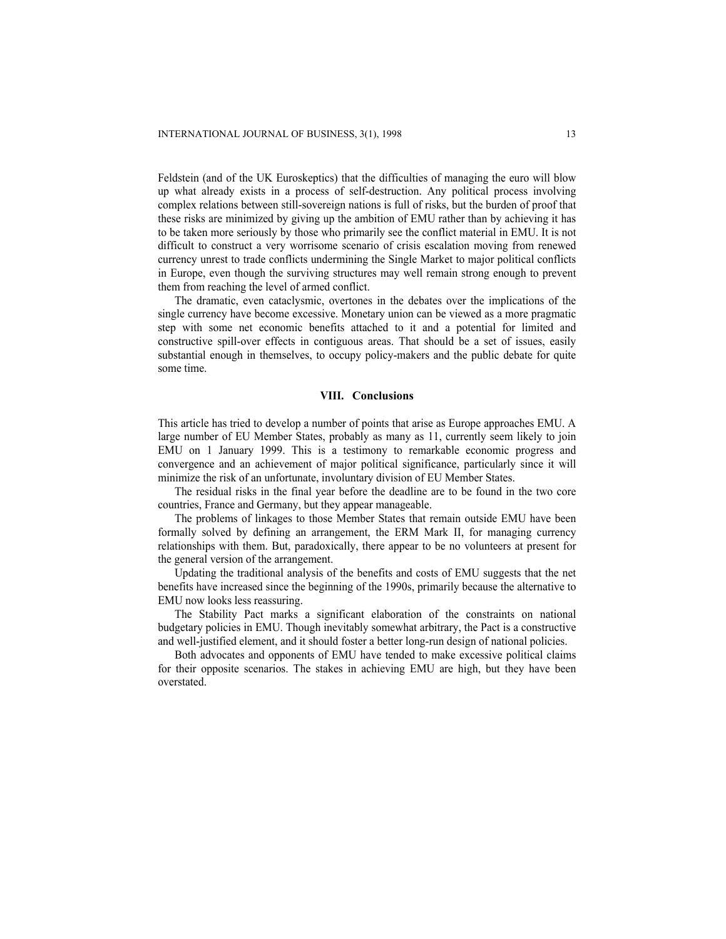Feldstein (and of the UK Euroskeptics) that the difficulties of managing the euro will blow up what already exists in a process of self-destruction. Any political process involving complex relations between still-sovereign nations is full of risks, but the burden of proof that these risks are minimized by giving up the ambition of EMU rather than by achieving it has to be taken more seriously by those who primarily see the conflict material in EMU. It is not difficult to construct a very worrisome scenario of crisis escalation moving from renewed currency unrest to trade conflicts undermining the Single Market to major political conflicts in Europe, even though the surviving structures may well remain strong enough to prevent them from reaching the level of armed conflict.

The dramatic, even cataclysmic, overtones in the debates over the implications of the single currency have become excessive. Monetary union can be viewed as a more pragmatic step with some net economic benefits attached to it and a potential for limited and constructive spill-over effects in contiguous areas. That should be a set of issues, easily substantial enough in themselves, to occupy policy-makers and the public debate for quite some time.

#### **VIII. Conclusions**

This article has tried to develop a number of points that arise as Europe approaches EMU. A large number of EU Member States, probably as many as 11, currently seem likely to join EMU on 1 January 1999. This is a testimony to remarkable economic progress and convergence and an achievement of major political significance, particularly since it will minimize the risk of an unfortunate, involuntary division of EU Member States.

The residual risks in the final year before the deadline are to be found in the two core countries, France and Germany, but they appear manageable.

The problems of linkages to those Member States that remain outside EMU have been formally solved by defining an arrangement, the ERM Mark II, for managing currency relationships with them. But, paradoxically, there appear to be no volunteers at present for the general version of the arrangement.

Updating the traditional analysis of the benefits and costs of EMU suggests that the net benefits have increased since the beginning of the 1990s, primarily because the alternative to EMU now looks less reassuring.

The Stability Pact marks a significant elaboration of the constraints on national budgetary policies in EMU. Though inevitably somewhat arbitrary, the Pact is a constructive and well-justified element, and it should foster a better long-run design of national policies.

 Both advocates and opponents of EMU have tended to make excessive political claims for their opposite scenarios. The stakes in achieving EMU are high, but they have been overstated.